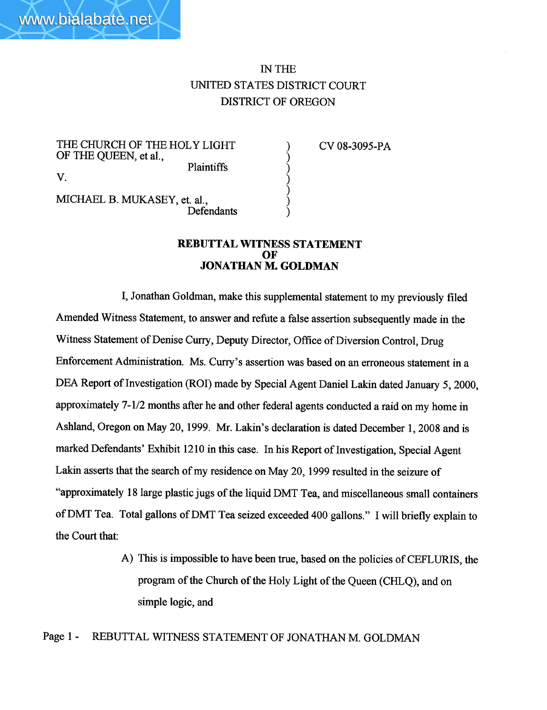# IN TH UNITED STATES DISTRICT COURT DISTRICT OF OREGON

) ) ) )  $\zeta$  $\epsilon$ )

THE CHURCH OF THE HOLY LIGHT OF THE QUEEN, et aI., Plaintiffs V.

CV 08-3095-PA

MICHAEL B. MUKASEY, et. al., Defendants

#### REBUTTAL WITNESS STATEMENT OF JONATHAN M. GOLDMA

I, Jonathan Goldman, make this supplemental statement to my previously fied Amended Witness Statement, to answer and refute a false assertion subsequently made in the Witness Statement of Denise Curry, Deputy Director, Office of Diversion Control, Drug Enforcement Administration. Ms. Curry's assertion was based on an erroneous statement in a DEA Report of Investigation (ROI) made by Special Agent Daniel Lakin dated January 5, 2000, approximately 7-1/2 months after he and other federal agents conducted a raid on my home in Ashland, Oregon on May 20, 1999. Mr. Lakin's declaration is dated December 1, 2008 and is marked Defendants' Exhibit 1210 in this case. In his Report of Investigation, Special Agent Lakin asserts that the search of my residence on May 20, 1999 resulted in the seizure of "approximately 18 large plastic jugs of the liquid DMT Tea, and miscellaneous small containers of DMT Tea. Total gallons of DMT Tea seized exceeded 400 gallons." I will briefly explain to the Court that:

> A) This is impossible to have been true, based on the policies of CEFLURIS, the program of the Church of the Holy Light of the Queen (CHLQ), and on simple logic, and

Page 1 - REBUTTAL WITNESS STATEMENT OF JONATHAN M. GOLDMAN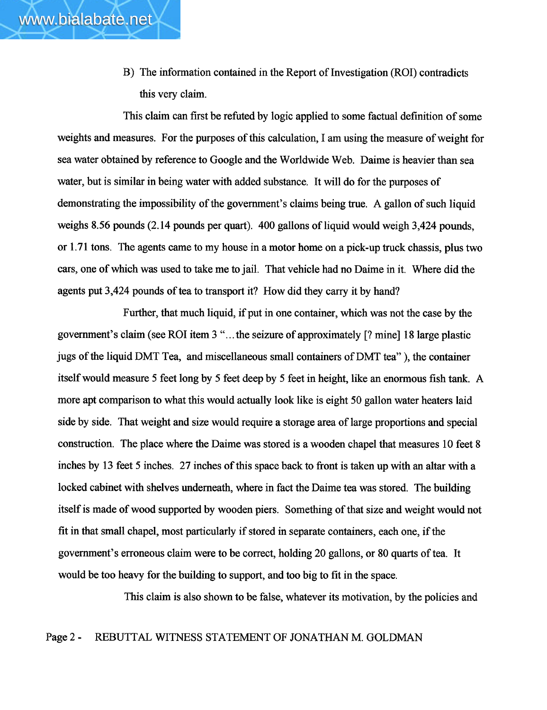www.bialabate.net

This claim can first be refuted by logic applied to some factual definition of some weights and measures. For the purposes of this calculation, I am using the measure of weight for sea water obtained by reference to Google and the Worldwide Web. Daime is heavier than sea water, but is similar in being water with added substance. It will do for the purposes of demonstrating the impossibility of the government's claims being true. A gallon of such liquid weighs 8.56 pounds (2.14 pounds per quart). 400 gallons of liquid would weigh 3,424 pounds, or 1.71 tons. The agents came to my house in a motor home on a pick-up truck chassis, plus two cars, one of which was used to take me to jail. That vehicle had no Daime in it. Where did the agents put 3,424 pounds of tea to transport it? How did they carry it by hand?

Further, that much liquid, if put in one container, which was not the case by the governent's claim (see ROI item 3 "... the seizure of approximately (? mine) 18 large plastic jugs of the liquid DMT Tea, and miscellaneous small containers of DMT tea"), the container itself would measure 5 feet long by 5 feet deep by 5 feet in height, like an enormous fish tank. A more apt comparison to what this would actually look like is eight 50 gallon water heaters laid side by side. That weight and size would require a storage area of large proportons and special construction. The place where the Daime was stored is a wooden chapel that measures 10 feet 8 inches by 13 feet 5 inches. 27 inches of this space back to front is taken up with an altar with a locked cabinet with shelves underneath, where in fact the Daime tea was stored. The building itself is made of wood supported by wooden piers. Something of that size and weight would not fit in that small chapel, most paricularly if stored in separate containers, each one, if the government's erroneous claim were to be correct, holding 20 gallons, or 80 quarts of tea. It would be too heavy for the building to support, and too big to fit in the space.

This claim is also shown to be false, whatever its motivation, by the policies and

### Page 2 - REBUTTAL WITNESS STATEMENT OF JONATHAN M. GOLDMAN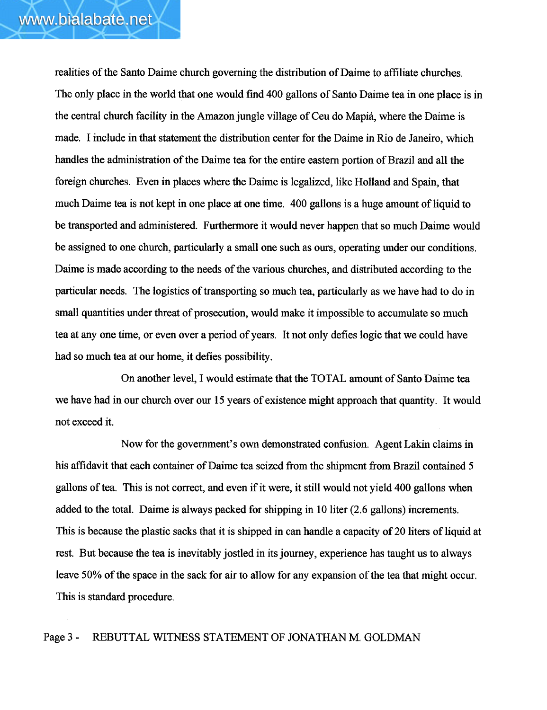realities of the Santo Daime church governing the distrbution of Daime to affliate churches. The only place in the world that one would find 400 gallons of Santo Daime tea in one place is in the central church facilty in the Amazon jungle vilage of Ceu do Mapiá, where the Daime is made. I include in that statement the distribution center for the Daime in Rio de Janeiro, which handles the administration of the Daime tea for the entire eastern portion of Brazil and all the foreign churches. Even in places where the Daime is legalized, like Holland and Spain, that much Daime tea is not kept in one place at one time. 400 gallons is a huge amount of liquid to be transported and administered. Furhermore it would never happen that so much Daime would be assigned to one church, particularly a small one such as ours, operating under our conditions. Daime is made according to the needs of the various churches, and distributed according to the particular needs. The logistics of transporting so much tea, particularly as we have had to do in small quantities under threat of prosecution, would make it impossible to accumulate so much tea at anyone time, or even over a period of years. It not only defies logic that we could have had so much tea at our home, it defies possibility.

On another level, I would estimate that the TOTAL amount of Santo Daime tea we have had in our church over our 15 years of existence might approach that quantity. It would not exceed it.

Now for the government's own demonstrated confusion. Agent Lakin claims in his affidavit that each container of Daime tea seized from the shipment from Brazil contained 5 gallons of tea. This is not correct, and even if it were, it still would not yield 400 gallons when added to the total. Daime is always packed for shipping in 10 liter (2.6 gallons) increments. This is because the plastic sacks that it is shipped in can handle a capacity of 20 liters of liquid at rest. But because the tea is inevitably jostled in its jourey, experience has taught us to always leave 50% of the space in the sack for air to allow for any expansion of the tea that might occur. This is standard procedure.

### Page 3 - REBUTTAL WITNSS STATEMENT OF JONATHAN M. GOLDMAN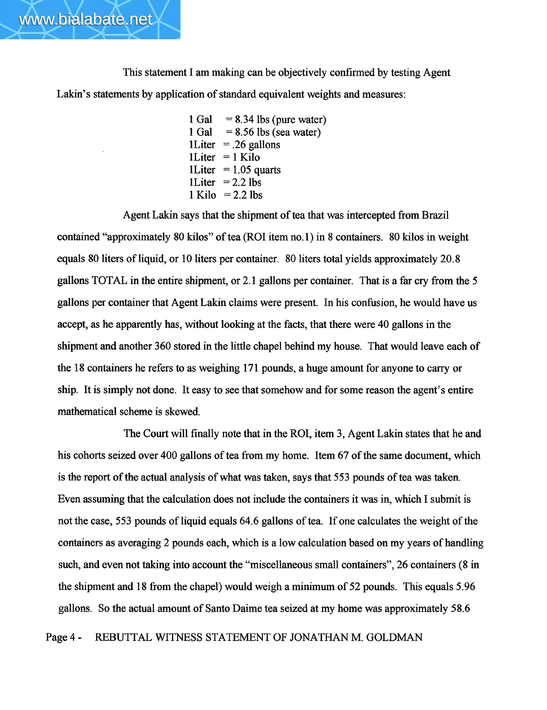This statement I am making can be objectively confirmed by testing Agent Lakin's statements by application of standard equivalent weights and measures:

> 1 Gal 1 GaI <sup>1</sup>Liter = .26 gallons <sup>1</sup>Liter = 1 Kilo  $1$ Liter = 1.05 quarts  $1$ Liter  $= 2.2$  lbs  $1$  Kilo  $= 2.2$  lbs  $= 8.34$  lbs (pure water)  $= 8.56$  lbs (sea water)

Agent Lakin says that the shipment of tea that was intercepted from Brazil contained "approximately 80 kilos" of tea (ROI item no. 1) in 8 containers. 80 kilos in weight equals 80 liters of liquid, or 10 liters per container. 80 liters total yields approximately 20.8 gallons TOTAL in the entire shipment, or 2.1 gallons per container. That is a far cry from the 5 gallons per container that Agent Lakin claims were present. In his confusion, he would have us accept, as he apparently has, without looking at the facts, that there were 40 gallons in the shipment and another 360 stored in the little chapel behind my house. That would leave each of the 18 containers he refers to as weighing 171 pounds, a huge amount for anyone to carry or ship. It is simply not done. It easy to see that somehow and for some reason the agent's entire mathematical scheme is skewed.

The Court wil finally note that in the ROI, item 3, Agent Lakin states that he and his cohorts seized over 400 gallons of tea from my home. Item 67 of the same document, which is the report of the actual analysis of what was taken, says that 553 pounds of tea was taken. Even assuming that the calculation does not include the containers it was in, which I submit is not the case, 553 pounds of liquid equals 64.6 gallons of tea. If one calculates the weight of the containers as averaging 2 pounds each, which is a low calculation based on my years of handling such, and even not taking into account the "miscellaneous small containers", 26 containers (8 in the shipment and 18 from the chapel) would weigh a minimum of 52 pounds. This equals 5.96 gallons. So the actual amount of Santo Daime tea seized at my home was approximately 58.6

Page 4 - REBUTTAL WITNSS STATEMENT OF JONATHAN M. GOLDMAN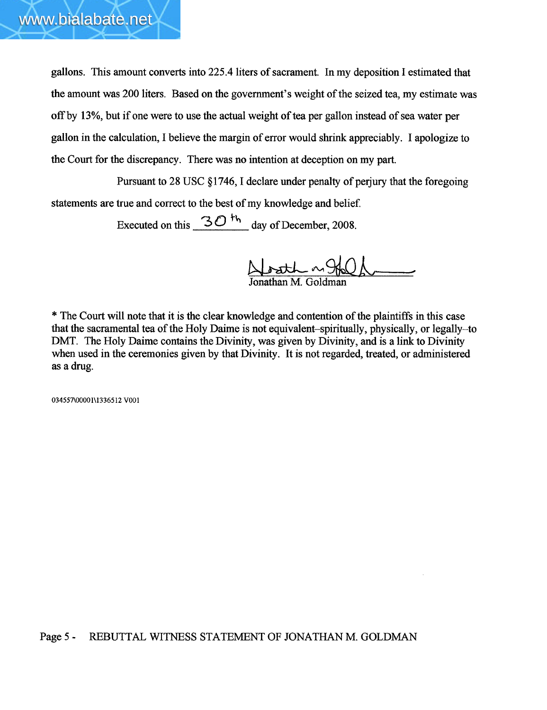

gallons. This amount converts into 225.4 liters of sacrament. In my deposition I estimated that the amount was 200 liters. Based on the government's weight of the seized tea, my estimate was off by 13%, but if one were to use the actual weight of tea per gallon instead of sea water per gallon in the calculation, I believe the margin of error would shrink appreciably. I apologize to the Court for the discrepancy. There was no intention at deception on my part.

Pursuant to 28 USC § 1746, I declare under penalty of perjury that the foregoing statements are true and correct to the best of my knowledge and belief

Executed on this  $30<sup>+</sup>$  day of December, 2008.

Noath ~960 "

\* The Court will note that it is the clear knowledge and contention of the plaintiffs in this case that the sacramental tea of the Holy Daime is not equivalent-spiritually, physically, or legally-to DMT. The Holy Daime contains the Divinity, was given by Divinity, and is a link to Divinity when used in the ceremonies given by that Divinity. It is not regarded, treated, or administered as a drug.

034557\00001\136512 VOOI